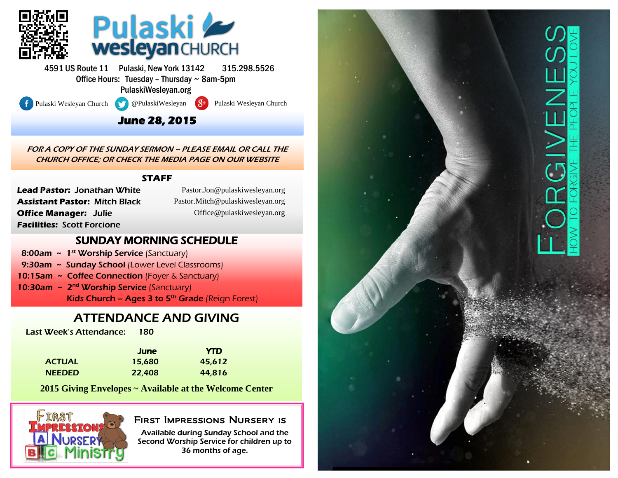

4591 US Route 11 Pulaski, New York 13142 315.298.5526 Office Hours: Tuesday – Thursday ~ 8am-5pm PulaskiWesleyan.org

l

Pulaski Wesleyan Church @PulaskiWesleyan 8<sup>+</sup> Pulaski Wesleyan Church

### **June 28, 2015**

FOR A COPY OF THE SUNDAY SERMON – PLEASE EMAIL OR CALL THE CHURCH OFFICE; OR CHECK THE MEDIA PAGE ON OUR WEBSITE

#### **STAFF**

**Lead Pastor:** Jonathan White **Assistant Pastor:** Mitch Black **Office Manager:** Julie **Facilities:** Scott Forcione

(Pastor.Jon@pulaskiwesleyan.org) Pastor.Jon@pulaskiwesleyan.org (Pastor.Mitch@pulaskiwesleyan.org) Pastor.Mitch@pulaskiwesleyan.org (Office@pulaskiwesleyan.org) Office@pulaskiwesleyan.org

### SUNDAY MORNING SCHEDULE

- 8:00am  $\sim 1^{st}$  Worship Service (Sanctuary)
- 9:30am ~ Sunday School (Lower Level Classrooms)
- 10:15am ~ Coffee Connection (Foyer & Sanctuary)
- 10:30am ~ 2<sup>nd</sup> Worship Service (Sanctuary) Kids Church – Ages 3 to  $5<sup>th</sup>$  Grade (Reign Forest)

## ATTENDANCE AND GIVING

Last Week's Attendance: 180

|               | <b>June</b> | <b>YTD</b> |
|---------------|-------------|------------|
| <b>ACTUAL</b> | 15,680      | 45.612     |
| <b>NEEDED</b> | 22,408      | 44,816     |

**2015 Giving Envelopes ~ Available at the Welcome Center**



### First Impressions Nursery is

Available during Sunday School and the Second Worship Service for children up to 36 months of age.